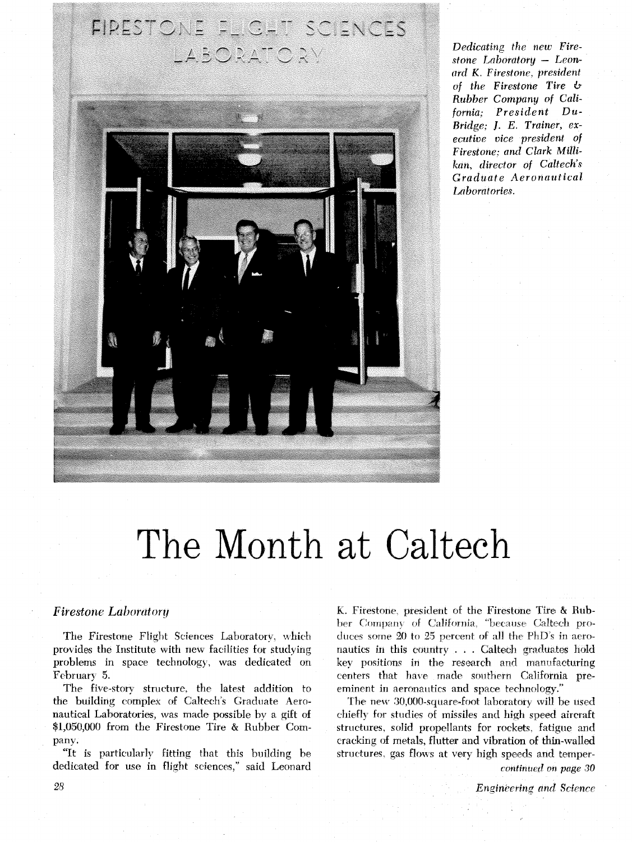# FIRESTONE FL.G. T. SCIENCES LABORATORV



*Dedicating the new Fire*stone Laboratory - Leon*nrd K. Firesfone, president of the Firestone Tire* **if**  *Rubber Company of California; President Du-Bridge; J. E. Trainer, executive vice president of Firestone: and Clark Milk kan, director of Caltech's Graduate Aeronautical Laboratories.* 

# The Month at Caltech

#### **Firestone Laboratory**

The Firestone Flight Sciences Laboratory, which provides the Institute with new facilities for studying problems in space technology, was dedicated on February 5.

The five-story structure, the latest addition to the building complex of Caltech's Graduate Aeronautical Laboratories, **was** made possible by a gift of \$1,050,000 from the Firestone Tire & Rubber Company.

"It is particularly fitting that this building be dedicated for use in flight sciences." said Leonard

K. Firestone. president of the Firestone Tire & Rubber Company of California, "because Caltech produces some 20 to 25 percent of all the PhD's in aeronautics in this country . . . Caltech graduates hold key positions in the research and manufacturing centers that have made southern California preeminent in aeronautics and space technology."

rhe new 30,000-square-foot laboratory will be used ehieflj for studies of missiles and high speed aircraft structures, solid propellants for rockets. fatigue and cracking of metals, flutter and vibration of thin-walled structures, gas flows at very high speeds and temper-

*continti~d* **on** *page* 30

28 *Ensincering awl* **Science**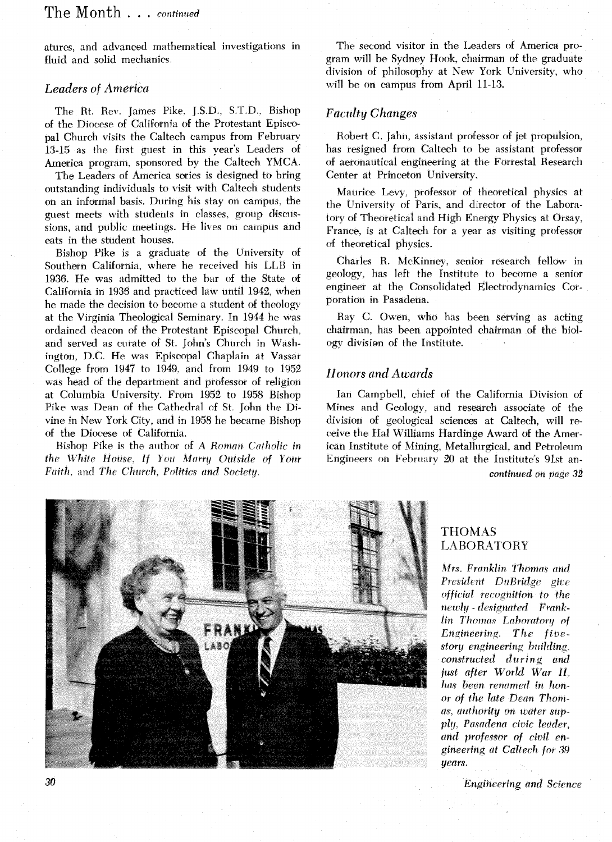## The Month . . . *continued*

atures, and advanced mathematical investigations in fluid and solid mechanics.

#### *Leaders of America*

The Rt. Rev. James Pike, J.S.D., S.T.D., Bishop of the Diocese of California of the Protestant Episcopal Church visits the Caltech campus from February' 13-15 as the first guest in this year's Leaders of America program, sponsored by the Caltech YMCA.

The Leaders of America series is designed to bring outstanding individuals to visit with Caltech students on an informal basis. During his stay on campus, the guest meets with students in classes, group discussions, and public meetings. He lives on campus and eats in the student houses.

Bishop Pike is a graduate of the University of Southern California, where he received his LLB in 1936. He was admitted to the bar of the State of California in 1936 and practiced law until 1942, when he made the decision to become a student of theology' at the Virginia Theological Seminary. In 1944 he was ordained deacon of the Protestant Episcopal Church, and served as curate of St. John's Church in Washington, D.C. He was Episcopal Chaplain at Vassar College from 1947 to 1949. and from 1949 to 1952 was head of the department and professor of religion at Columbia University. From 1952 to 1958 Bishop Pike was Dean of the Cathedral of St. fohn the Divine in New York City, and in 1958 he became Bishop of the Diocese of California.

Bishop Pike is the author of A *Roman Catholic in the White House, If You Marry Outside of Your Faith.* and *The Church. Politics and Society.* 

The second visitor in the Leaders **of** America program will be Sydney Hook, chairman of the graduate division of philosophy at New York University, who will be on campus from April 11-13.

#### *Faculty Changes*

Robert C. Jahn, assistant professor of jet propulsion, has resigned from Caltech to be assistant professor of aeronautical engineering at the Forrestal Research Center at Princeton University.

Maurice Levy, professor of theoretical physics at the University of Paris, and director of the Laboratory of Theoretical and High Energy Physics at Orsay, France, is at Caltech for a year as visiting professor of theoretical physics.

Charles R. McKinney, senior research fellow in geology, has left the Institute to become a senior engineer at the Consolidated Electrodynamics Corporation in Pasadena.

Ray C. Owen, who has been serving as acting chairman, has been appointed chairman of the biology division of the Institute.

#### *Honors and Awwds*

Ian Campbell, chief of the California Division of Mines and Geology, and research associate of the division of geological sciences at Caltech, will receive the Hal Williams Hardinge Award of the American Institute of Mining, Metallurgical, and Petroleum Engineers on February 20 at the Institute's 9Jst an*continued* **on** page **32** 



#### THOMAS LABORATORY

*Afrs. Franklin Thomas* nnd *President DuBridge give official recognition to the*  $nevly$  - *designated* Frank*lin Thomas Laboratory of Ewineeiins, The* fivcstory engineering building. *constructed during and just after World War II. has been renamed in honor of the late Dean Thoma'i', authority on water supply. Pasadena civic leader, and professor of civil cngineering at Calfech for 3.9 years.* 

*lhgihcering and Science*